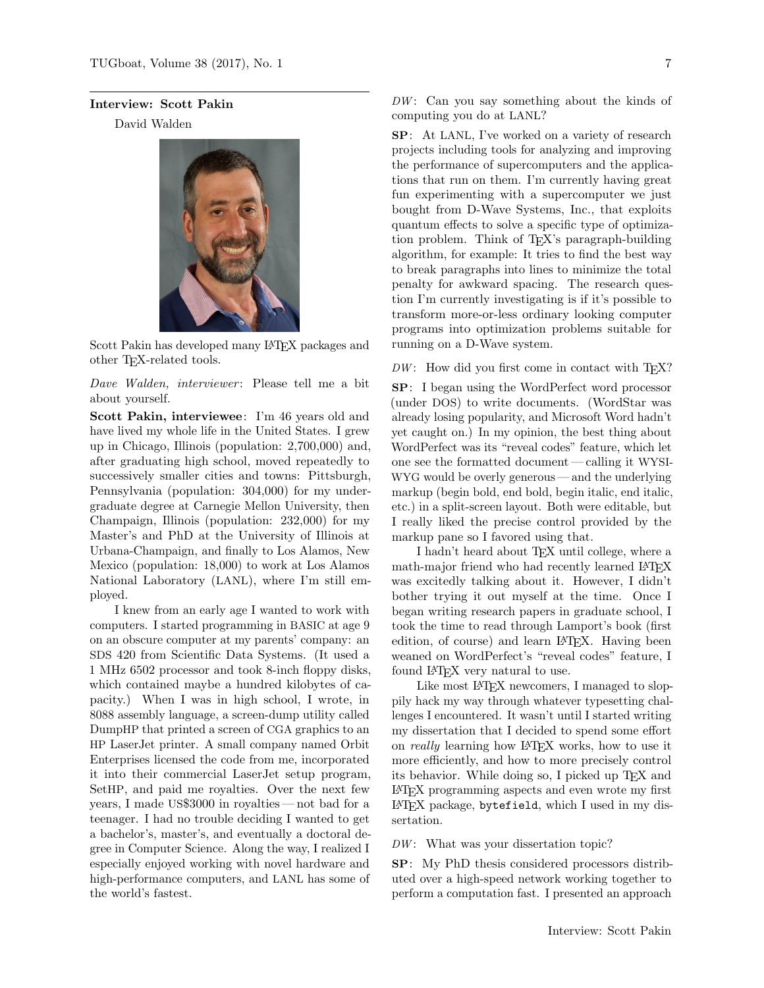## Interview: Scott Pakin

David Walden



Scott Pakin has developed many LATEX packages and other TEX-related tools.

Dave Walden, interviewer: Please tell me a bit about yourself.

Scott Pakin, interviewee: I'm 46 years old and have lived my whole life in the United States. I grew up in Chicago, Illinois (population: 2,700,000) and, after graduating high school, moved repeatedly to successively smaller cities and towns: Pittsburgh, Pennsylvania (population: 304,000) for my undergraduate degree at Carnegie Mellon University, then Champaign, Illinois (population: 232,000) for my Master's and PhD at the University of Illinois at Urbana-Champaign, and finally to Los Alamos, New Mexico (population: 18,000) to work at Los Alamos National Laboratory (LANL), where I'm still employed.

I knew from an early age I wanted to work with computers. I started programming in BASIC at age 9 on an obscure computer at my parents' company: an SDS 420 from Scientific Data Systems. (It used a 1 MHz 6502 processor and took 8-inch floppy disks, which contained maybe a hundred kilobytes of capacity.) When I was in high school, I wrote, in 8088 assembly language, a screen-dump utility called DumpHP that printed a screen of CGA graphics to an HP LaserJet printer. A small company named Orbit Enterprises licensed the code from me, incorporated it into their commercial LaserJet setup program, SetHP, and paid me royalties. Over the next few years, I made US\$3000 in royalties— not bad for a teenager. I had no trouble deciding I wanted to get a bachelor's, master's, and eventually a doctoral degree in Computer Science. Along the way, I realized I especially enjoyed working with novel hardware and high-performance computers, and LANL has some of the world's fastest.

 $DW:$  Can you say something about the kinds of computing you do at LANL?

SP: At LANL, I've worked on a variety of research projects including tools for analyzing and improving the performance of supercomputers and the applications that run on them. I'm currently having great fun experimenting with a supercomputer we just bought from D-Wave Systems, Inc., that exploits quantum effects to solve a specific type of optimization problem. Think of TEX's paragraph-building algorithm, for example: It tries to find the best way to break paragraphs into lines to minimize the total penalty for awkward spacing. The research question I'm currently investigating is if it's possible to transform more-or-less ordinary looking computer programs into optimization problems suitable for running on a D-Wave system.

## $DW:$  How did you first come in contact with  $T_{F}X$ ?

SP: I began using the WordPerfect word processor (under DOS) to write documents. (WordStar was already losing popularity, and Microsoft Word hadn't yet caught on.) In my opinion, the best thing about WordPerfect was its "reveal codes" feature, which let one see the formatted document— calling it WYSI-WYG would be overly generous — and the underlying markup (begin bold, end bold, begin italic, end italic, etc.) in a split-screen layout. Both were editable, but I really liked the precise control provided by the markup pane so I favored using that.

I hadn't heard about TEX until college, where a math-major friend who had recently learned LAT<sub>EX</sub> was excitedly talking about it. However, I didn't bother trying it out myself at the time. Once I began writing research papers in graduate school, I took the time to read through Lamport's book (first edition, of course) and learn LAT<sub>EX</sub>. Having been weaned on WordPerfect's "reveal codes" feature, I found L<sup>AT</sup>FX very natural to use.

Like most IATEX newcomers, I managed to sloppily hack my way through whatever typesetting challenges I encountered. It wasn't until I started writing my dissertation that I decided to spend some effort on *really* learning how LAT<sub>E</sub>X works, how to use it more efficiently, and how to more precisely control its behavior. While doing so, I picked up TEX and LATEX programming aspects and even wrote my first LATEX package, bytefield, which I used in my dissertation.

 $DW:$  What was your dissertation topic?

SP: My PhD thesis considered processors distributed over a high-speed network working together to perform a computation fast. I presented an approach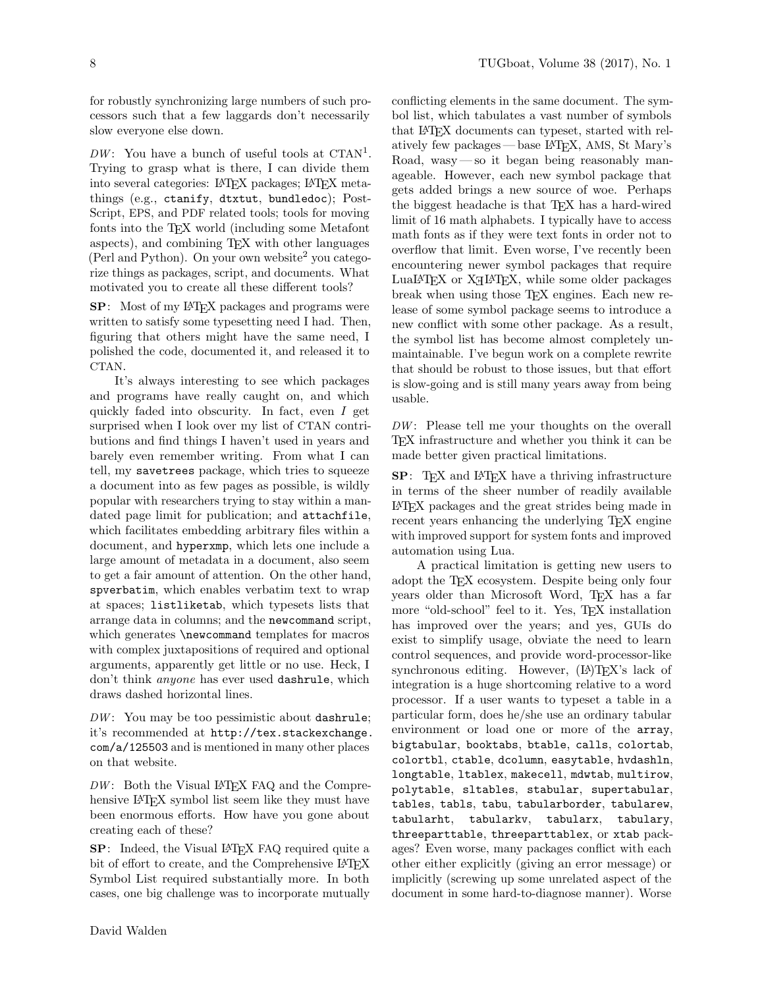conflicting elements in the same document. The symbol list, which tabulates a vast number of symbols that LATEX documents can typeset, started with relatively few packages — base LATEX, AMS, St Mary's Road, wasy— so it began being reasonably manageable. However, each new symbol package that gets added brings a new source of woe. Perhaps the biggest headache is that TEX has a hard-wired limit of 16 math alphabets. I typically have to access math fonts as if they were text fonts in order not to overflow that limit. Even worse, I've recently been

for robustly synchronizing large numbers of such processors such that a few laggards don't necessarily slow everyone else down.

 $DW:$  You have a bunch of useful tools at CTAN<sup>1</sup>. Trying to grasp what is there, I can divide them into several categories: LATEX packages; LATEX metathings (e.g., ctanify, dtxtut, bundledoc); Post-Script, EPS, and PDF related tools; tools for moving fonts into the TEX world (including some Metafont aspects), and combining TEX with other languages (Perl and Python). On your own website<sup>2</sup> you categorize things as packages, script, and documents. What motivated you to create all these different tools?

SP: Most of my LATEX packages and programs were written to satisfy some typesetting need I had. Then, figuring that others might have the same need, I polished the code, documented it, and released it to CTAN.

It's always interesting to see which packages and programs have really caught on, and which quickly faded into obscurity. In fact, even I get surprised when I look over my list of CTAN contributions and find things I haven't used in years and barely even remember writing. From what I can tell, my savetrees package, which tries to squeeze a document into as few pages as possible, is wildly popular with researchers trying to stay within a mandated page limit for publication; and attachfile, which facilitates embedding arbitrary files within a document, and hyperxmp, which lets one include a large amount of metadata in a document, also seem to get a fair amount of attention. On the other hand, spverbatim, which enables verbatim text to wrap at spaces; listliketab, which typesets lists that arrange data in columns; and the newcommand script, which generates \newcommand templates for macros with complex juxtapositions of required and optional arguments, apparently get little or no use. Heck, I don't think anyone has ever used dashrule, which draws dashed horizontal lines.

 $DW:$  You may be too pessimistic about dashrule; it's recommended at http://tex.stackexchange. com/a/125503 and is mentioned in many other places on that website.

 $DW:$  Both the Visual LAT<sub>F</sub>X FAQ and the Comprehensive LAT<sub>EX</sub> symbol list seem like they must have been enormous efforts. How have you gone about creating each of these?

SP: Indeed, the Visual LAT<sub>EX</sub> FAQ required quite a bit of effort to create, and the Comprehensive L<sup>A</sup>T<sub>E</sub>X Symbol List required substantially more. In both cases, one big challenge was to incorporate mutually

encountering newer symbol packages that require  $LualAT$ <sub>EX</sub> or  $X$ <sup> $H$ </sup> $F$ <sub>EX</sub>, while some older packages break when using those T<sub>E</sub>X engines. Each new release of some symbol package seems to introduce a new conflict with some other package. As a result, the symbol list has become almost completely unmaintainable. I've begun work on a complete rewrite that should be robust to those issues, but that effort is slow-going and is still many years away from being usable.  $DW:$  Please tell me your thoughts on the overall TEX infrastructure and whether you think it can be made better given practical limitations. SP: T<sub>EX</sub> and L<sup>AT</sup>EX have a thriving infrastructure in terms of the sheer number of readily available LATEX packages and the great strides being made in recent years enhancing the underlying TEX engine with improved support for system fonts and improved automation using Lua.

A practical limitation is getting new users to adopt the TEX ecosystem. Despite being only four years older than Microsoft Word, T<sub>E</sub>X has a far more "old-school" feel to it. Yes, TEX installation has improved over the years; and yes, GUIs do exist to simplify usage, obviate the need to learn control sequences, and provide word-processor-like synchronous editing. However,  $(L<sup>A</sup>)$ T<sub>E</sub>X's lack of integration is a huge shortcoming relative to a word processor. If a user wants to typeset a table in a particular form, does he/she use an ordinary tabular environment or load one or more of the array, bigtabular, booktabs, btable, calls, colortab, colortbl, ctable, dcolumn, easytable, hvdashln, longtable, ltablex, makecell, mdwtab, multirow, polytable, sltables, stabular, supertabular, tables, tabls, tabu, tabularborder, tabularew, tabularht, tabularkv, tabularx, tabulary, threeparttable, threeparttablex, or xtab packages? Even worse, many packages conflict with each other either explicitly (giving an error message) or implicitly (screwing up some unrelated aspect of the document in some hard-to-diagnose manner). Worse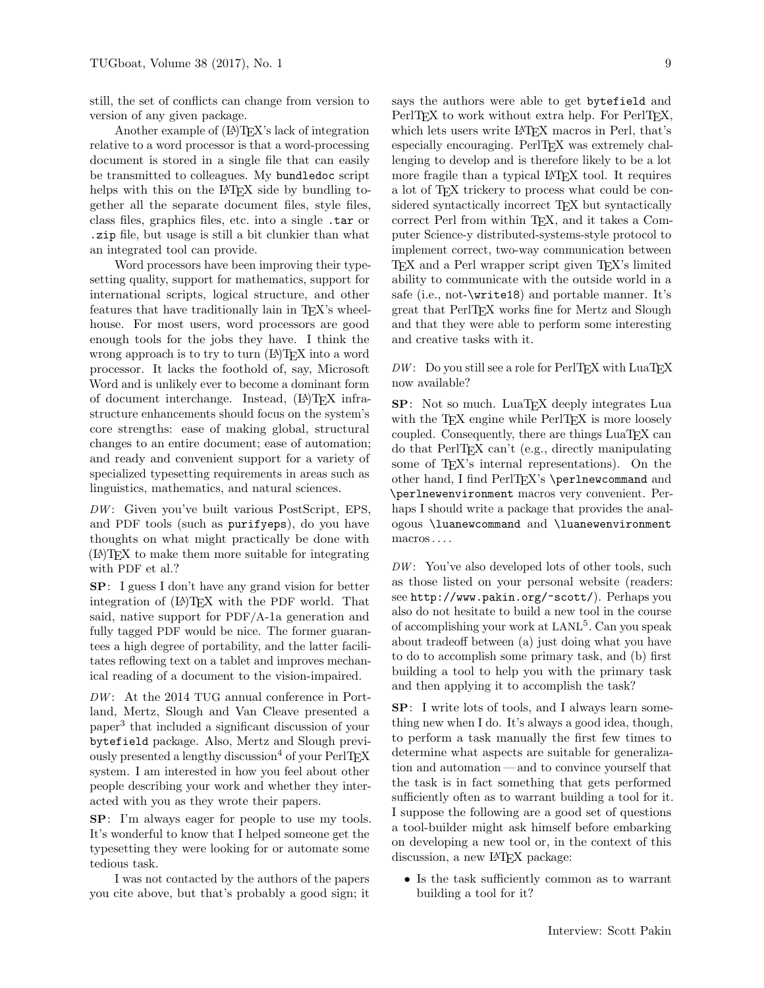still, the set of conflicts can change from version to version of any given package.

Another example of  $(L<sup>A</sup>)$ TEX's lack of integration relative to a word processor is that a word-processing document is stored in a single file that can easily be transmitted to colleagues. My bundledoc script helps with this on the LAT<sub>EX</sub> side by bundling together all the separate document files, style files, class files, graphics files, etc. into a single .tar or .zip file, but usage is still a bit clunkier than what an integrated tool can provide.

Word processors have been improving their typesetting quality, support for mathematics, support for international scripts, logical structure, and other features that have traditionally lain in TEX's wheelhouse. For most users, word processors are good enough tools for the jobs they have. I think the wrong approach is to try to turn  $(E)$ TEX into a word processor. It lacks the foothold of, say, Microsoft Word and is unlikely ever to become a dominant form of document interchange. Instead, (LA)TEX infrastructure enhancements should focus on the system's core strengths: ease of making global, structural changes to an entire document; ease of automation; and ready and convenient support for a variety of specialized typesetting requirements in areas such as linguistics, mathematics, and natural sciences.

 $DW:$  Given you've built various PostScript, EPS, and PDF tools (such as purifyeps), do you have thoughts on what might practically be done with (LA)TEX to make them more suitable for integrating with PDF et al.?

SP: I guess I don't have any grand vision for better integration of  $(L^{\Delta})$ TEX with the PDF world. That said, native support for PDF/A-1a generation and fully tagged PDF would be nice. The former guarantees a high degree of portability, and the latter facilitates reflowing text on a tablet and improves mechanical reading of a document to the vision-impaired.

 $DW:$  At the 2014 TUG annual conference in Portland, Mertz, Slough and Van Cleave presented a paper<sup>3</sup> that included a significant discussion of your bytefield package. Also, Mertz and Slough previously presented a lengthy discussion<sup>4</sup> of your PerlT<sub>EX</sub> system. I am interested in how you feel about other people describing your work and whether they interacted with you as they wrote their papers.

SP: I'm always eager for people to use my tools. It's wonderful to know that I helped someone get the typesetting they were looking for or automate some tedious task.

I was not contacted by the authors of the papers you cite above, but that's probably a good sign; it

says the authors were able to get bytefield and PerlTEX to work without extra help. For PerlTEX, which lets users write LATEX macros in Perl, that's especially encouraging. PerlTFX was extremely challenging to develop and is therefore likely to be a lot more fragile than a typical LAT<sub>EX</sub> tool. It requires a lot of TEX trickery to process what could be considered syntactically incorrect TEX but syntactically correct Perl from within TEX, and it takes a Computer Science-y distributed-systems-style protocol to implement correct, two-way communication between TEX and a Perl wrapper script given TEX's limited ability to communicate with the outside world in a safe (i.e., not-\write18) and portable manner. It's great that PerlT<sub>E</sub>X works fine for Mertz and Slough and that they were able to perform some interesting and creative tasks with it.

 $DW:$  Do you still see a role for PerlTFX with LuaTFX now available?

SP: Not so much. LuaTEX deeply integrates Lua with the TEX engine while PerlTEX is more loosely coupled. Consequently, there are things LuaTEX can do that PerlTEX can't (e.g., directly manipulating some of T<sub>EX</sub>'s internal representations). On the other hand, I find PerlTEX's \perlnewcommand and \perlnewenvironment macros very convenient. Perhaps I should write a package that provides the analogous \luanewcommand and \luanewenvironment macros . . . .

 $DW:$  You've also developed lots of other tools, such as those listed on your personal website (readers: see http://www.pakin.org/~scott/). Perhaps you also do not hesitate to build a new tool in the course of accomplishing your work at LANL<sup>5</sup>. Can you speak about tradeoff between (a) just doing what you have to do to accomplish some primary task, and (b) first building a tool to help you with the primary task and then applying it to accomplish the task?

SP: I write lots of tools, and I always learn something new when I do. It's always a good idea, though, to perform a task manually the first few times to determine what aspects are suitable for generalization and automation — and to convince yourself that the task is in fact something that gets performed sufficiently often as to warrant building a tool for it. I suppose the following are a good set of questions a tool-builder might ask himself before embarking on developing a new tool or, in the context of this discussion, a new IAT<sub>EX</sub> package:

• Is the task sufficiently common as to warrant building a tool for it?